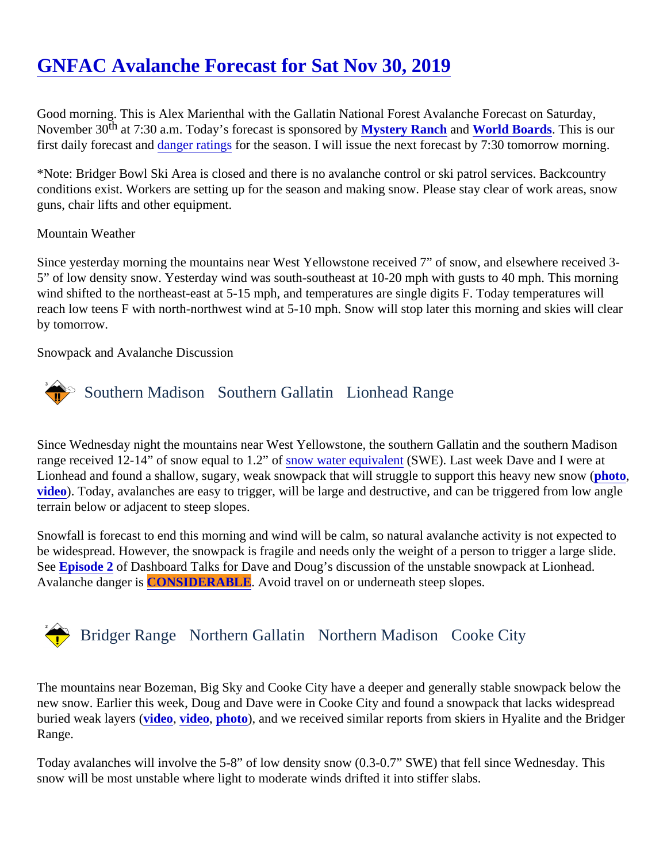# [GNFAC Avalanche Forecast for Sat Nov 30, 201](https://www.mtavalanche.com/forecast/19/11/30)9

Good morning. This is Alex Marienthal with the Gallatin National Forest Avalanche Forecast on Saturday, November 3<sup>th</sup> at 7:30 a.m. Today's forecast is sponsore *Mystery Ranch* and [World Boards.](http://www.worldboards.com) This is our firstdaily forecast and anger rating for the season. I will issue the next forecast by 7:30 tomorrow morning.

\*Note: Bridger Bowl Ski Area is closed and there is no avalanche control or ski patrol services. Backcountry conditions exist. Workers are setting up for the season and making snow. Please stay clear of work areas, snow guns, chair lifts and other equipment.

## Mountain Weather

Since yesterday morning the mountains near West Yellowstone received 7" of snow, and elsewhere received 5" of low density snow. Yesterday wind was south-southeast at 10-20 mph with gusts to 40 mph. This mornin wind shifted to the northeast-east at 5-15 mph, and temperatures are single digits F. Today temperatures will reach low teens F with north-northwest wind at 5-10 mph. Snow will stop later this morning and skies will clea by tomorrow.

Snowpack and Avalanche Discussion

# Southern MadisonSouthern Gallatin Lionhead Range

Since Wednesday night the mountains near West Yellowstone, the southern Gallatin and the southern Madis rangereceived 12-14" of snow equal to 1.2<sup>'s of</sup> water equivalen (SWE). Last week Dave and I were at Lionhead and found a shallow, sugary, weak snowpack that will struggle to support this heavy new strong ( [video](https://youtu.be/i6DWvLU0Eks)). Today, avalanches are easy to trigger, will be large and destructive, and can be triggered from low angle terrain below or adjacent to steep slopes.

Snowfall is forecast to end this morning and wind will be calm, so natural avalanche activity is not expected to be widespread. However, the snowpack is fragile and needs only the weight of a person to trigger a large slid Se[e Episode 2](https://youtu.be/VOudepXmDeY)of Dashboard Talks for Dave and Doug's discussion of the unstable snowpack at Lionhead. Avalanche danger **CONSIDERABLE**. Avoid travel on or underneath steep slopes.

## Bridger Range Northern Gallatin Northern Madison Cooke City

The mountains near Bozeman, Big Sky and Cooke City have a deeper and generally stable snowpack below new snow. Earlier this week, Doug and Dave were in Cooke City and found a snowpack that lacks widesprea buried weak layers (deo, [video,](https://www.youtube.com/watch?v=6O2DFTnHPcw&list=PLXu5151nmAvSbcbVfoR785MxkqkNVy8Pp&index=4&t=0s) [photo\)](https://www.mtavalanche.com/sites/default/files/styles/very_large_1200w_/public/2019-11/Martys.jpg?itok=tP3HMJQx), and we received similar reports from skiers in Hyalite and the Bridger Range.

Today avalanches will involve the 5-8" of low density snow (0.3-0.7" SWE) that fell since Wednesday. This snow will be most unstable where light to moderate winds drifted it into stiffer slabs.